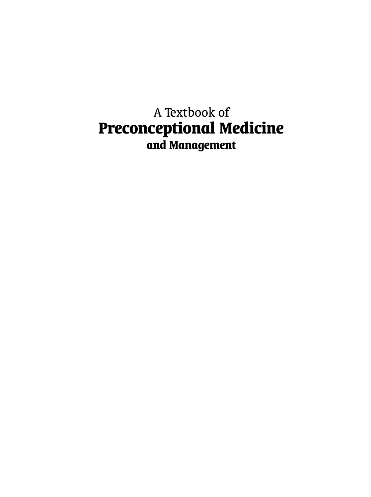## A Textbook of **Preconceptional Medicine and Management**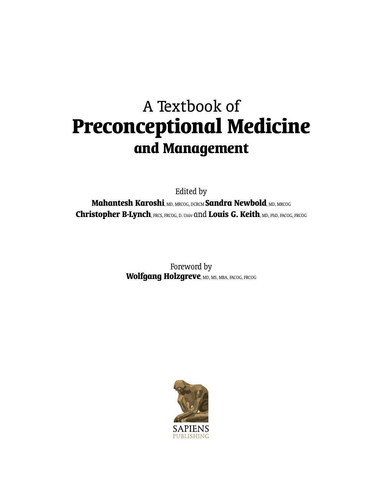# A Textbook of **Preconceptional Medicine and Management**

Edited by **Mahantesh Karoshi**, MD, MRCOG, DCRCM **Sandra Newbold**, MD, MRCOG **Christopher B-Lynch**, FRCS, FRCOG, D. Univ and Louis G. Keith, MD, PhD, FACOG, FRCOG

> Foreword by **Wolfgang Holzgreve**, MD, MS, MBA, FACOG, FRCOG

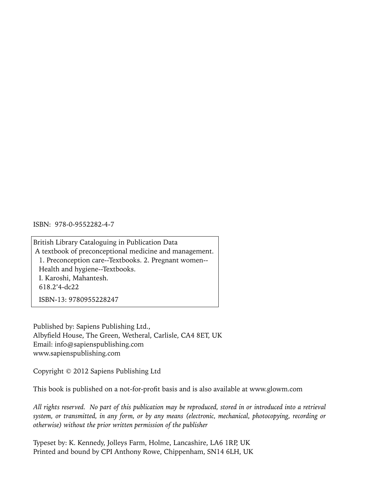ISBN: 978-0-9552282-4-7

British Library Cataloguing in Publication Data A textbook of preconceptional medicine and management. 1. Preconception care--Textbooks. 2. Pregnant women-- Health and hygiene--Textbooks. I. Karoshi, Mahantesh. 618.2'4-dc22

ISBN-13: 9780955228247

Published by: Sapiens Publishing Ltd., Albyfield House, The Green, Wetheral, Carlisle, CA4 8ET, UK Email: info@sapienspublishing.com www.sapienspublishing.com

Copyright © 2012 Sapiens Publishing Ltd

This book is published on a not-for-profit basis and is also available at www.glowm.com

*All rights reserved. No part of this publication may be reproduced, stored in or introduced into a retrieval system, or transmitted, in any form, or by any means (electronic, mechanical, photocopying, recording or otherwise) without the prior written permission of the publisher*

Typeset by: K. Kennedy, Jolleys Farm, Holme, Lancashire, LA6 1RP, UK Printed and bound by CPI Anthony Rowe, Chippenham, SN14 6LH, UK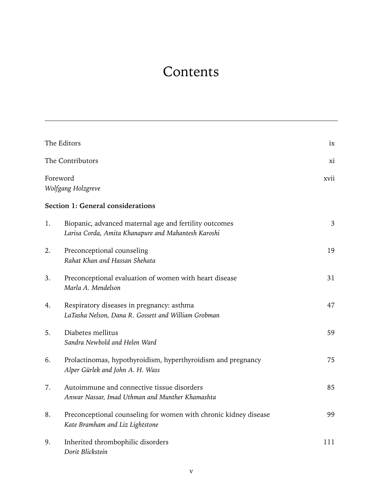### Contents

| The Editors                    |                                                                                                               | ix   |
|--------------------------------|---------------------------------------------------------------------------------------------------------------|------|
| The Contributors               |                                                                                                               | xi   |
| Foreword<br>Wolfgang Holzgreve |                                                                                                               | xvii |
|                                | Section 1: General considerations                                                                             |      |
| 1.                             | Biopanic, advanced maternal age and fertility outcomes<br>Larisa Corda, Amita Khanapure and Mahantesh Karoshi | 3    |
| 2.                             | Preconceptional counseling<br>Rahat Khan and Hassan Shehata                                                   | 19   |
| 3.                             | Preconceptional evaluation of women with heart disease<br>Marla A. Mendelson                                  | 31   |
| 4.                             | Respiratory diseases in pregnancy: asthma<br>LaTasha Nelson, Dana R. Gossett and William Grobman              | 47   |
| 5.                             | Diabetes mellitus<br>Sandra Newbold and Helen Ward                                                            | 59   |
| 6.                             | Prolactinomas, hypothyroidism, hyperthyroidism and pregnancy<br>Alper Gürlek and John A. H. Wass              | 75   |
| 7.                             | Autoimmune and connective tissue disorders<br>Anwar Nassar, Imad Uthman and Munther Khamashta                 | 85   |
| 8.                             | Preconceptional counseling for women with chronic kidney disease<br>Kate Bramham and Liz Lightstone           | 99   |
| 9.                             | Inherited thrombophilic disorders<br>Dorit Blickstein                                                         | 111  |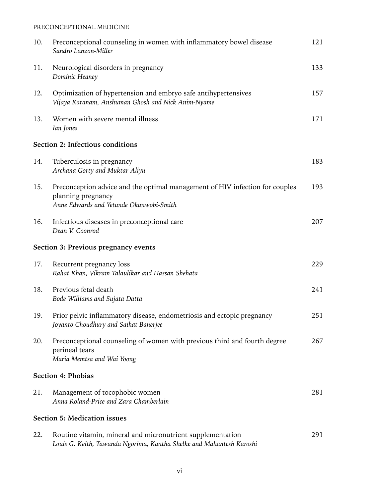### PRECONCEPTIONAL MEDICINE

| 10. | Preconceptional counseling in women with inflammatory bowel disease<br>Sandro Lanzon-Miller                                                   | 121 |
|-----|-----------------------------------------------------------------------------------------------------------------------------------------------|-----|
| 11. | Neurological disorders in pregnancy<br>Dominic Heaney                                                                                         | 133 |
| 12. | Optimization of hypertension and embryo safe antihypertensives<br>Vijaya Karanam, Anshuman Ghosh and Nick Anim-Nyame                          | 157 |
| 13. | Women with severe mental illness<br>Ian Jones                                                                                                 | 171 |
|     | Section 2: Infectious conditions                                                                                                              |     |
| 14. | Tuberculosis in pregnancy<br>Archana Gorty and Muktar Aliyu                                                                                   | 183 |
| 15. | Preconception advice and the optimal management of HIV infection for couples<br>planning pregnancy<br>Anne Edwards and Yetunde Okunwobi-Smith | 193 |
| 16. | Infectious diseases in preconceptional care<br>Dean V. Coonrod                                                                                | 207 |
|     | Section 3: Previous pregnancy events                                                                                                          |     |
| 17. | Recurrent pregnancy loss<br>Rahat Khan, Vikram Talaulikar and Hassan Shehata                                                                  | 229 |
| 18. | Previous fetal death<br>Bode Williams and Sujata Datta                                                                                        | 241 |
| 19. | Prior pelvic inflammatory disease, endometriosis and ectopic pregnancy<br>Joyanto Choudhury and Saikat Banerjee                               | 251 |
| 20. | Preconceptional counseling of women with previous third and fourth degree<br>perineal tears<br>Maria Memtsa and Wai Yoong                     | 267 |
|     | Section 4: Phobias                                                                                                                            |     |
| 21. | Management of tocophobic women<br>Anna Roland-Price and Zara Chamberlain                                                                      | 281 |
|     | Section 5: Medication issues                                                                                                                  |     |
| 22. | Routine vitamin, mineral and micronutrient supplementation<br>Louis G. Keith, Tawanda Ngorima, Kantha Shelke and Mahantesh Karoshi            | 291 |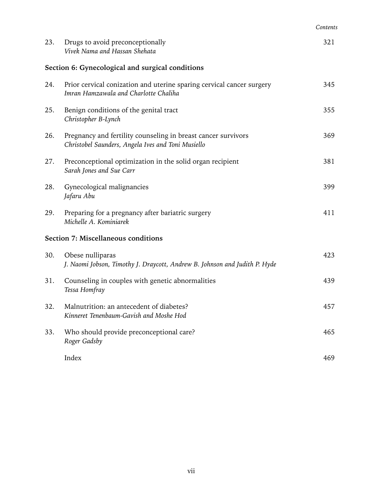|     |                                                                                                                     | Contents |
|-----|---------------------------------------------------------------------------------------------------------------------|----------|
| 23. | Drugs to avoid preconceptionally<br>Vivek Nama and Hassan Shehata                                                   | 321      |
|     | Section 6: Gynecological and surgical conditions                                                                    |          |
| 24. | Prior cervical conization and uterine sparing cervical cancer surgery<br>Imran Hamzawala and Charlotte Chaliha      | 345      |
| 25. | Benign conditions of the genital tract<br>Christopher B-Lynch                                                       | 355      |
| 26. | Pregnancy and fertility counseling in breast cancer survivors<br>Christobel Saunders, Angela Ives and Toni Musiello | 369      |
| 27. | Preconceptional optimization in the solid organ recipient<br>Sarah Jones and Sue Carr                               | 381      |
| 28. | Gynecological malignancies<br>Jafaru Abu                                                                            | 399      |
| 29. | Preparing for a pregnancy after bariatric surgery<br>Michelle A. Kominiarek                                         | 411      |
|     | Section 7: Miscellaneous conditions                                                                                 |          |
| 30. | Obese nulliparas<br>J. Naomi Jobson, Timothy J. Draycott, Andrew B. Johnson and Judith P. Hyde                      | 423      |
| 31. | Counseling in couples with genetic abnormalities<br>Tessa Homfray                                                   | 439      |
| 32. | Malnutrition: an antecedent of diabetes?<br>Kinneret Tenenbaum-Gavish and Moshe Hod                                 | 457      |
| 33. | Who should provide preconceptional care?<br>Roger Gadsby                                                            | 465      |
|     | Index                                                                                                               | 469      |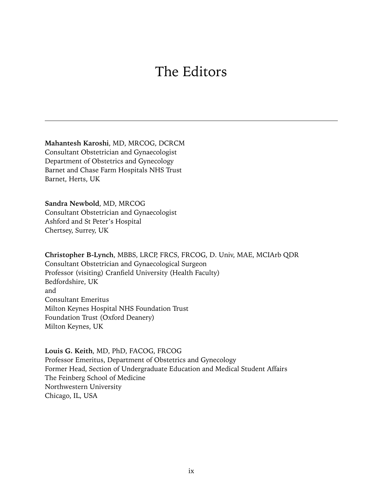### The Editors

**Mahantesh Karoshi**, MD, MRCOG, DCRCM Consultant Obstetrician and Gynaecologist Department of Obstetrics and Gynecology Barnet and Chase Farm Hospitals NHS Trust Barnet, Herts, UK

**Sandra Newbold**, MD, MRCOG Consultant Obstetrician and Gynaecologist Ashford and St Peter's Hospital Chertsey, Surrey, UK

#### **Christopher B-Lynch**, MBBS, LRCP, FRCS, FRCOG, D. Univ, MAE, MCIArb QDR

Consultant Obstetrician and Gynaecological Surgeon Professor (visiting) Cranfield University (Health Faculty) Bedfordshire, UK and Consultant Emeritus Milton Keynes Hospital NHS Foundation Trust Foundation Trust (Oxford Deanery) Milton Keynes, UK

**Louis G. Keith**, MD, PhD, FACOG, FRCOG Professor Emeritus, Department of Obstetrics and Gynecology Former Head, Section of Undergraduate Education and Medical Student Affairs The Feinberg School of Medicine Northwestern University Chicago, IL, USA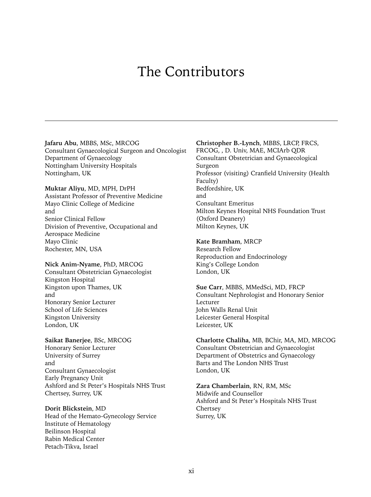### The Contributors

**Jafaru Abu**, MBBS, MSc, MRCOG Consultant Gynaecological Surgeon and Oncologist Department of Gynaecology Nottingham University Hospitals Nottingham, UK

**Muktar Aliyu**, MD, MPH, DrPH Assistant Professor of Preventive Medicine Mayo Clinic College of Medicine and Senior Clinical Fellow Division of Preventive, Occupational and Aerospace Medicine Mayo Clinic Rochester, MN, USA

**Nick Anim-Nyame**, PhD, MRCOG Consultant Obstetrician Gynaecologist Kingston Hospital Kingston upon Thames, UK and Honorary Senior Lecturer School of Life Sciences Kingston University London, UK

**Saikat Banerjee**, BSc, MRCOG Honorary Senior Lecturer University of Surrey and Consultant Gynaecologist Early Pregnancy Unit Ashford and St Peter's Hospitals NHS Trust Chertsey, Surrey, UK

**Dorit Blickstein**, MD Head of the Hemato-Gynecology Service Institute of Hematology Beilinson Hospital Rabin Medical Center Petach-Tikva, Israel

#### **Christopher B.-Lynch**, MBBS, LRCP, FRCS,

FRCOG, , D. Univ, MAE, MCIArb QDR Consultant Obstetrician and Gynaecological Surgeon Professor (visiting) Cranfield University (Health Faculty) Bedfordshire, UK and Consultant Emeritus Milton Keynes Hospital NHS Foundation Trust (Oxford Deanery) Milton Keynes, UK

#### **Kate Bramham**, MRCP

Research Fellow Reproduction and Endocrinology King's College London London, UK

**Sue Carr**, MBBS, MMedSci, MD, FRCP Consultant Nephrologist and Honorary Senior Lecturer John Walls Renal Unit Leicester General Hospital Leicester, UK

**Charlotte Chaliha**, MB, BChir, MA, MD, MRCOG Consultant Obstetrician and Gynaecologist Department of Obstetrics and Gynaecology Barts and The London NHS Trust London, UK

**Zara Chamberlain**, RN, RM, MSc Midwife and Counsellor Ashford and St Peter's Hospitals NHS Trust Chertsey Surrey, UK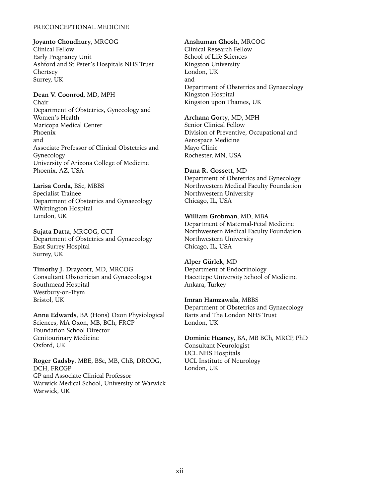#### PRECONCEPTIONAL MEDICINE

**Joyanto Choudhury**, MRCOG Clinical Fellow Early Pregnancy Unit Ashford and St Peter's Hospitals NHS Trust Chertsey Surrey, UK

**Dean V. Coonrod**, MD, MPH Chair Department of Obstetrics, Gynecology and Women's Health Maricopa Medical Center Phoenix and Associate Professor of Clinical Obstetrics and Gynecology University of Arizona College of Medicine Phoenix, AZ, USA

**Larisa Corda**, BSc, MBBS Specialist Trainee Department of Obstetrics and Gynaecology Whittington Hospital London, UK

**Sujata Datta**, MRCOG, CCT Department of Obstetrics and Gynaecology East Surrey Hospital Surrey, UK

**Timothy J. Draycott**, MD, MRCOG Consultant Obstetrician and Gynaecologist Southmead Hospital Westbury-on-Trym Bristol, UK

**Anne Edwards**, BA (Hons) Oxon Physiological Sciences, MA Oxon, MB, BCh, FRCP Foundation School Director Genitourinary Medicine Oxford, UK

**Roger Gadsby**, MBE, BSc, MB, ChB, DRCOG, DCH, FRCGP GP and Associate Clinical Professor Warwick Medical School, University of Warwick Warwick, UK

**Anshuman Ghosh**, MRCOG

Clinical Research Fellow School of Life Sciences Kingston University London, UK and Department of Obstetrics and Gynaecology Kingston Hospital Kingston upon Thames, UK

**Archana Gorty**, MD, MPH

Senior Clinical Fellow Division of Preventive, Occupational and Aerospace Medicine Mayo Clinic Rochester, MN, USA

**Dana R. Gossett**, MD Department of Obstetrics and Gynecology Northwestern Medical Faculty Foundation Northwestern University Chicago, IL, USA

**William Grobman**, MD, MBA Department of Maternal-Fetal Medicine Northwestern Medical Faculty Foundation Northwestern University Chicago, IL, USA

**Alper Gürlek**, MD Department of Endocrinology Hacettepe University School of Medicine Ankara, Turkey

**Imran Hamzawala**, MBBS Department of Obstetrics and Gynaecology Barts and The London NHS Trust London, UK

**Dominic Heaney**, BA, MB BCh, MRCP, PhD Consultant Neurologist UCL NHS Hospitals UCL Institute of Neurology London, UK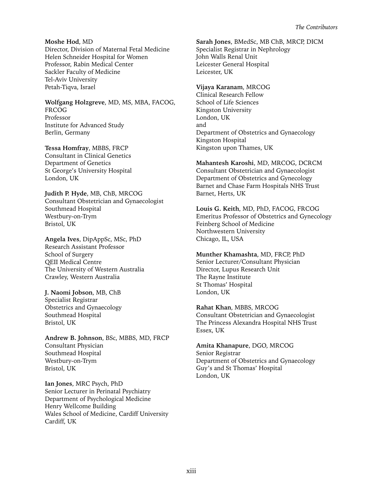**Moshe Hod**, MD

Director, Division of Maternal Fetal Medicine Helen Schneider Hospital for Women Professor, Rabin Medical Center Sackler Faculty of Medicine Tel-Aviv University Petah-Tiqva, Israel

**Wolfgang Holzgreve**, MD, MS, MBA, FACOG, FRCOG Professor Institute for Advanced Study Berlin, Germany

**Tessa Homfray**, MBBS, FRCP Consultant in Clinical Genetics Department of Genetics St George's University Hospital London, UK

**Judith P. Hyde**, MB, ChB, MRCOG Consultant Obstetrician and Gynaecologist Southmead Hospital Westbury-on-Trym Bristol, UK

**Angela Ives**, DipAppSc, MSc, PhD Research Assistant Professor School of Surgery QEII Medical Centre The University of Western Australia Crawley, Western Australia

**J. Naomi Jobson**, MB, ChB Specialist Registrar Obstetrics and Gynaecology Southmead Hospital Bristol, UK

**Andrew B. Johnson**, BSc, MBBS, MD, FRCP Consultant Physician Southmead Hospital Westbury-on-Trym Bristol, UK

**Ian Jones**, MRC Psych, PhD Senior Lecturer in Perinatal Psychiatry Department of Psychological Medicine Henry Wellcome Building Wales School of Medicine, Cardiff University Cardiff, UK

**Sarah Jones**, BMedSc, MB ChB, MRCP, DICM Specialist Registrar in Nephrology John Walls Renal Unit Leicester General Hospital Leicester, UK

#### **Vijaya Karanam**, MRCOG

Clinical Research Fellow School of Life Sciences Kingston University London, UK and Department of Obstetrics and Gynaecology Kingston Hospital Kingston upon Thames, UK

**Mahantesh Karoshi**, MD, MRCOG, DCRCM Consultant Obstetrician and Gynaecologist Department of Obstetrics and Gynecology Barnet and Chase Farm Hospitals NHS Trust Barnet, Herts, UK

**Louis G. Keith**, MD, PhD, FACOG, FRCOG Emeritus Professor of Obstetrics and Gynecology Feinberg School of Medicine Northwestern University Chicago, IL, USA

**Munther Khamashta**, MD, FRCP, PhD

Senior Lecturer/Consultant Physician Director, Lupus Research Unit The Rayne Institute St Thomas' Hospital London, UK

**Rahat Khan**, MBBS, MRCOG Consultant Obstetrician and Gynaecologist The Princess Alexandra Hospital NHS Trust Essex, UK

**Amita Khanapure**, DGO, MRCOG Senior Registrar Department of Obstetrics and Gynaecology Guy's and St Thomas' Hospital London, UK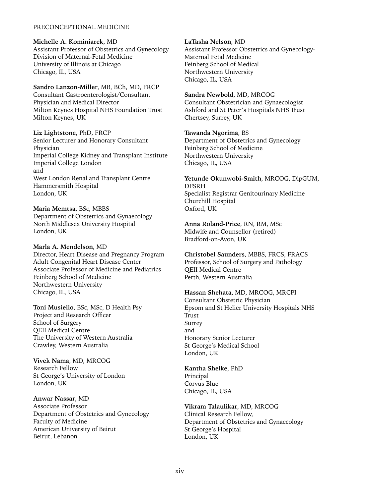#### PRECONCEPTIONAL MEDICINE

**Michelle A. Kominiarek**, MD Assistant Professor of Obstetrics and Gynecology Division of Maternal-Fetal Medicine University of Illinois at Chicago Chicago, IL, USA

**Sandro Lanzon-Miller**, MB, BCh, MD, FRCP Consultant Gastroenterologist/Consultant Physician and Medical Director Milton Keynes Hospital NHS Foundation Trust Milton Keynes, UK

**Liz Lightstone**, PhD, FRCP Senior Lecturer and Honorary Consultant Physician Imperial College Kidney and Transplant Institute Imperial College London and West London Renal and Transplant Centre Hammersmith Hospital London, UK

**Maria Memtsa**, BSc, MBBS Department of Obstetrics and Gynaecology North Middlesex University Hospital London, UK

**Marla A. Mendelson**, MD Director, Heart Disease and Pregnancy Program Adult Congenital Heart Disease Center Associate Professor of Medicine and Pediatrics Feinberg School of Medicine Northwestern University Chicago, IL, USA

**Toni Musiello**, BSc, MSc, D Health Psy Project and Research Officer School of Surgery QEII Medical Centre The University of Western Australia Crawley, Western Australia

**Vivek Nama**, MD, MRCOG Research Fellow St George's University of London London, UK

**Anwar Nassar**, MD Associate Professor Department of Obstetrics and Gynecology Faculty of Medicine American University of Beirut Beirut, Lebanon

**LaTasha Nelson**, MD Assistant Professor Obstetrics and Gynecology-Maternal Fetal Medicine Feinberg School of Medical Northwestern University Chicago, IL, USA

**Sandra Newbold**, MD, MRCOG Consultant Obstetrician and Gynaecologist Ashford and St Peter's Hospitals NHS Trust Chertsey, Surrey, UK

**Tawanda Ngorima**, BS Department of Obstetrics and Gynecology Feinberg School of Medicine Northwestern University Chicago, IL, USA

**Yetunde Okunwobi-Smith**, MRCOG, DipGUM, DFSRH Specialist Registrar Genitourinary Medicine Churchill Hospital Oxford, UK

**Anna Roland-Price**, RN, RM, MSc Midwife and Counsellor (retired) Bradford-on-Avon, UK

**Christobel Saunders**, MBBS, FRCS, FRACS Professor, School of Surgery and Pathology QEII Medical Centre Perth, Western Australia

**Hassan Shehata**, MD, MRCOG, MRCPI Consultant Obstetric Physician Epsom and St Helier University Hospitals NHS Trust Surrey and Honorary Senior Lecturer St George's Medical School London, UK

**Kantha Shelke**, PhD Principal Corvus Blue Chicago, IL, USA

**Vikram Talaulikar**, MD, MRCOG Clinical Research Fellow, Department of Obstetrics and Gynaecology St George's Hospital London, UK